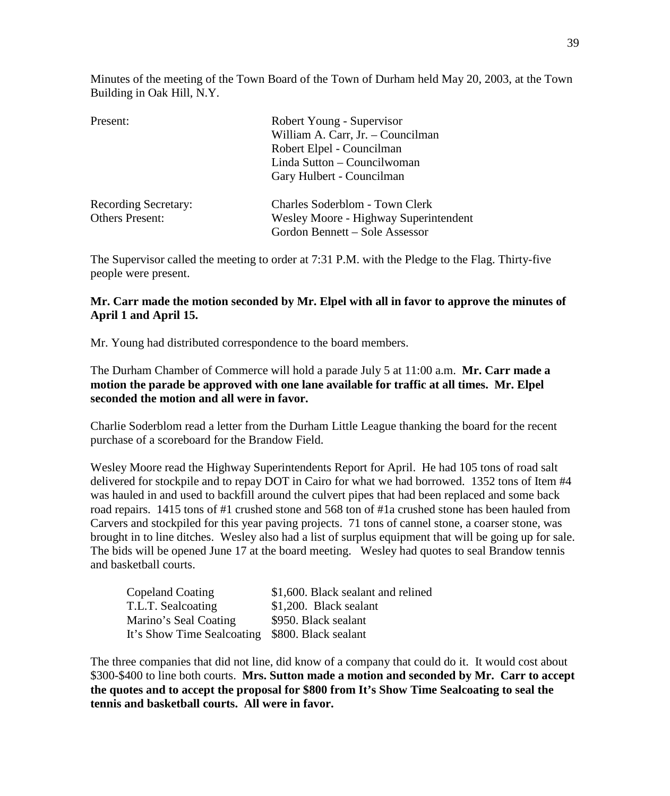Minutes of the meeting of the Town Board of the Town of Durham held May 20, 2003, at the Town Building in Oak Hill, N.Y.

| Present:                    | Robert Young - Supervisor             |  |
|-----------------------------|---------------------------------------|--|
|                             | William A. Carr, Jr. - Councilman     |  |
|                             | Robert Elpel - Councilman             |  |
|                             | Linda Sutton - Councilwoman           |  |
|                             | Gary Hulbert - Councilman             |  |
| <b>Recording Secretary:</b> | Charles Soderblom - Town Clerk        |  |
| <b>Others Present:</b>      | Wesley Moore - Highway Superintendent |  |
|                             | Gordon Bennett – Sole Assessor        |  |

The Supervisor called the meeting to order at 7:31 P.M. with the Pledge to the Flag. Thirty-five people were present.

## **Mr. Carr made the motion seconded by Mr. Elpel with all in favor to approve the minutes of April 1 and April 15.**

Mr. Young had distributed correspondence to the board members.

The Durham Chamber of Commerce will hold a parade July 5 at 11:00 a.m. **Mr. Carr made a motion the parade be approved with one lane available for traffic at all times. Mr. Elpel seconded the motion and all were in favor.** 

Charlie Soderblom read a letter from the Durham Little League thanking the board for the recent purchase of a scoreboard for the Brandow Field.

Wesley Moore read the Highway Superintendents Report for April. He had 105 tons of road salt delivered for stockpile and to repay DOT in Cairo for what we had borrowed. 1352 tons of Item #4 was hauled in and used to backfill around the culvert pipes that had been replaced and some back road repairs. 1415 tons of #1 crushed stone and 568 ton of #1a crushed stone has been hauled from Carvers and stockpiled for this year paving projects. 71 tons of cannel stone, a coarser stone, was brought in to line ditches. Wesley also had a list of surplus equipment that will be going up for sale. The bids will be opened June 17 at the board meeting. Wesley had quotes to seal Brandow tennis and basketball courts.

| Copeland Coating                                | \$1,600. Black sealant and relined |
|-------------------------------------------------|------------------------------------|
| T.L.T. Sealcoating                              | \$1,200. Black sealant             |
| Marino's Seal Coating                           | \$950. Black sealant               |
| It's Show Time Sealcoating \$800. Black sealant |                                    |

The three companies that did not line, did know of a company that could do it. It would cost about \$300-\$400 to line both courts. **Mrs. Sutton made a motion and seconded by Mr. Carr to accept the quotes and to accept the proposal for \$800 from It's Show Time Sealcoating to seal the tennis and basketball courts. All were in favor.**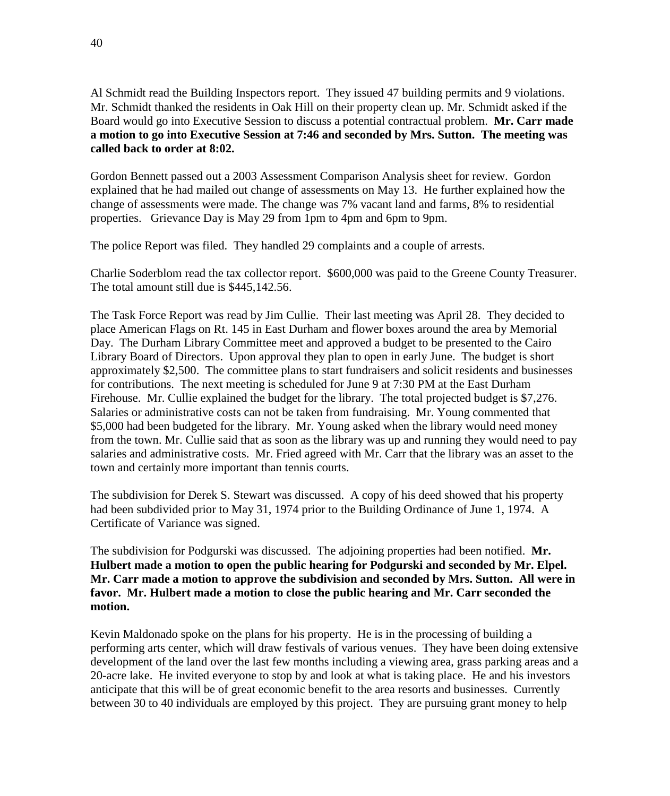Al Schmidt read the Building Inspectors report. They issued 47 building permits and 9 violations. Mr. Schmidt thanked the residents in Oak Hill on their property clean up. Mr. Schmidt asked if the Board would go into Executive Session to discuss a potential contractual problem. **Mr. Carr made a motion to go into Executive Session at 7:46 and seconded by Mrs. Sutton. The meeting was called back to order at 8:02.** 

Gordon Bennett passed out a 2003 Assessment Comparison Analysis sheet for review. Gordon explained that he had mailed out change of assessments on May 13. He further explained how the change of assessments were made. The change was 7% vacant land and farms, 8% to residential properties. Grievance Day is May 29 from 1pm to 4pm and 6pm to 9pm.

The police Report was filed. They handled 29 complaints and a couple of arrests.

Charlie Soderblom read the tax collector report. \$600,000 was paid to the Greene County Treasurer. The total amount still due is \$445,142.56.

The Task Force Report was read by Jim Cullie. Their last meeting was April 28. They decided to place American Flags on Rt. 145 in East Durham and flower boxes around the area by Memorial Day. The Durham Library Committee meet and approved a budget to be presented to the Cairo Library Board of Directors. Upon approval they plan to open in early June. The budget is short approximately \$2,500. The committee plans to start fundraisers and solicit residents and businesses for contributions. The next meeting is scheduled for June 9 at 7:30 PM at the East Durham Firehouse. Mr. Cullie explained the budget for the library. The total projected budget is \$7,276. Salaries or administrative costs can not be taken from fundraising. Mr. Young commented that \$5,000 had been budgeted for the library. Mr. Young asked when the library would need money from the town. Mr. Cullie said that as soon as the library was up and running they would need to pay salaries and administrative costs. Mr. Fried agreed with Mr. Carr that the library was an asset to the town and certainly more important than tennis courts.

The subdivision for Derek S. Stewart was discussed. A copy of his deed showed that his property had been subdivided prior to May 31, 1974 prior to the Building Ordinance of June 1, 1974. A Certificate of Variance was signed.

The subdivision for Podgurski was discussed. The adjoining properties had been notified. **Mr. Hulbert made a motion to open the public hearing for Podgurski and seconded by Mr. Elpel. Mr. Carr made a motion to approve the subdivision and seconded by Mrs. Sutton. All were in favor. Mr. Hulbert made a motion to close the public hearing and Mr. Carr seconded the motion.**

Kevin Maldonado spoke on the plans for his property. He is in the processing of building a performing arts center, which will draw festivals of various venues. They have been doing extensive development of the land over the last few months including a viewing area, grass parking areas and a 20-acre lake. He invited everyone to stop by and look at what is taking place. He and his investors anticipate that this will be of great economic benefit to the area resorts and businesses. Currently between 30 to 40 individuals are employed by this project. They are pursuing grant money to help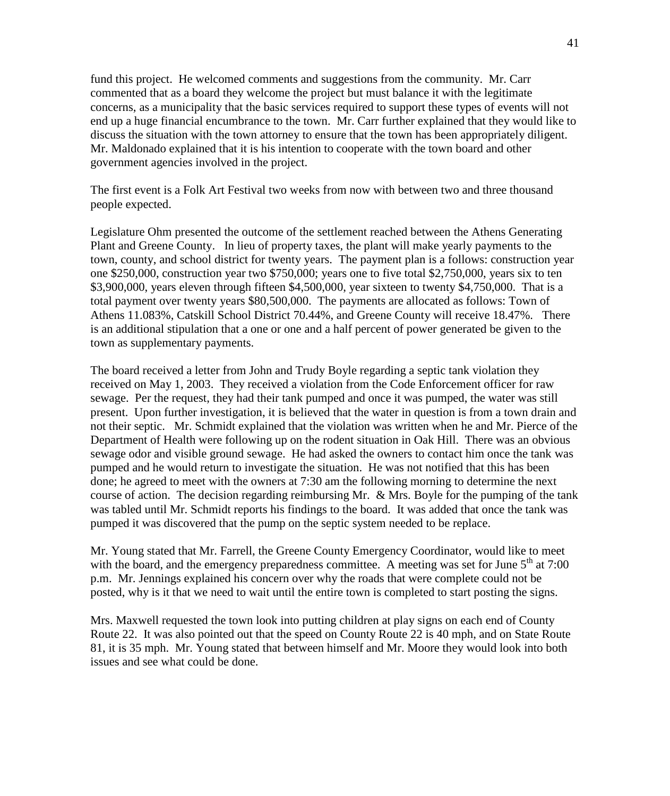fund this project. He welcomed comments and suggestions from the community. Mr. Carr commented that as a board they welcome the project but must balance it with the legitimate concerns, as a municipality that the basic services required to support these types of events will not end up a huge financial encumbrance to the town. Mr. Carr further explained that they would like to discuss the situation with the town attorney to ensure that the town has been appropriately diligent. Mr. Maldonado explained that it is his intention to cooperate with the town board and other government agencies involved in the project.

The first event is a Folk Art Festival two weeks from now with between two and three thousand people expected.

Legislature Ohm presented the outcome of the settlement reached between the Athens Generating Plant and Greene County. In lieu of property taxes, the plant will make yearly payments to the town, county, and school district for twenty years. The payment plan is a follows: construction year one \$250,000, construction year two \$750,000; years one to five total \$2,750,000, years six to ten \$3,900,000, years eleven through fifteen \$4,500,000, year sixteen to twenty \$4,750,000. That is a total payment over twenty years \$80,500,000. The payments are allocated as follows: Town of Athens 11.083%, Catskill School District 70.44%, and Greene County will receive 18.47%. There is an additional stipulation that a one or one and a half percent of power generated be given to the town as supplementary payments.

The board received a letter from John and Trudy Boyle regarding a septic tank violation they received on May 1, 2003. They received a violation from the Code Enforcement officer for raw sewage. Per the request, they had their tank pumped and once it was pumped, the water was still present. Upon further investigation, it is believed that the water in question is from a town drain and not their septic. Mr. Schmidt explained that the violation was written when he and Mr. Pierce of the Department of Health were following up on the rodent situation in Oak Hill. There was an obvious sewage odor and visible ground sewage. He had asked the owners to contact him once the tank was pumped and he would return to investigate the situation. He was not notified that this has been done; he agreed to meet with the owners at 7:30 am the following morning to determine the next course of action. The decision regarding reimbursing Mr. & Mrs. Boyle for the pumping of the tank was tabled until Mr. Schmidt reports his findings to the board. It was added that once the tank was pumped it was discovered that the pump on the septic system needed to be replace.

Mr. Young stated that Mr. Farrell, the Greene County Emergency Coordinator, would like to meet with the board, and the emergency preparedness committee. A meeting was set for June  $5<sup>th</sup>$  at 7:00 p.m. Mr. Jennings explained his concern over why the roads that were complete could not be posted, why is it that we need to wait until the entire town is completed to start posting the signs.

Mrs. Maxwell requested the town look into putting children at play signs on each end of County Route 22. It was also pointed out that the speed on County Route 22 is 40 mph, and on State Route 81, it is 35 mph. Mr. Young stated that between himself and Mr. Moore they would look into both issues and see what could be done.